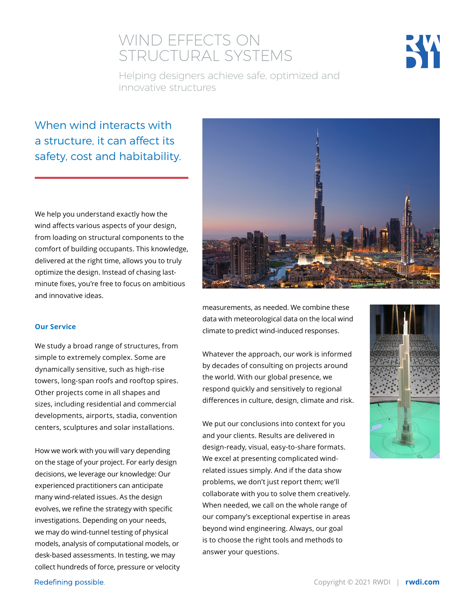## WIND EFFECTS ON STRUCTURAL SYSTEMS



Helping designers achieve safe, optimized and innovative structures

### When wind interacts with a structure, it can affect its safety, cost and habitability.

We help you understand exactly how the wind affects various aspects of your design, from loading on structural components to the comfort of building occupants. This knowledge, delivered at the right time, allows you to truly optimize the design. Instead of chasing lastminute fixes, you're free to focus on ambitious and innovative ideas.

#### **Our Service**

We study a broad range of structures, from simple to extremely complex. Some are dynamically sensitive, such as high-rise towers, long-span roofs and rooftop spires. Other projects come in all shapes and sizes, including residential and commercial developments, airports, stadia, convention centers, sculptures and solar installations.

How we work with you will vary depending on the stage of your project. For early design decisions, we leverage our knowledge: Our experienced practitioners can anticipate many wind-related issues. As the design evolves, we refine the strategy with specific investigations. Depending on your needs, we may do wind-tunnel testing of physical models, analysis of computational models, or desk-based assessments. In testing, we may collect hundreds of force, pressure or velocity



measurements, as needed. We combine these data with meteorological data on the local wind climate to predict wind-induced responses.

Whatever the approach, our work is informed by decades of consulting on projects around the world. With our global presence, we respond quickly and sensitively to regional differences in culture, design, climate and risk.

We put our conclusions into context for you and your clients. Results are delivered in design-ready, visual, easy-to-share formats. We excel at presenting complicated windrelated issues simply. And if the data show problems, we don't just report them; we'll collaborate with you to solve them creatively. When needed, we call on the whole range of our company's exceptional expertise in areas beyond wind engineering. Always, our goal is to choose the right tools and methods to answer your questions.



Redefining possible.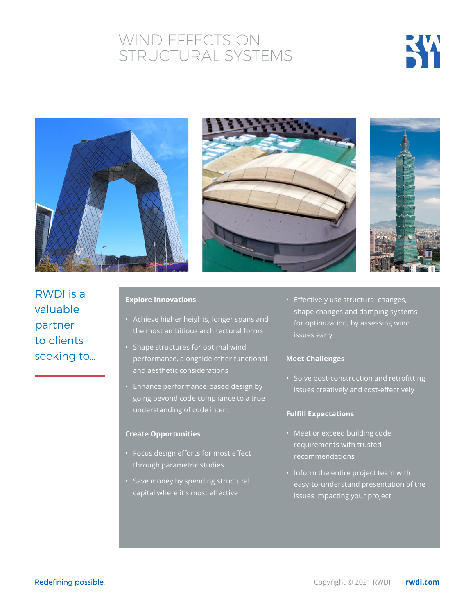## WIND EFFECTS ON STRUCTURAL SYSTEMS









RWDI is a valuable partner to clients seeking to…

#### **Explore Innovations**

- Achieve higher heights, longer spans and the most ambitious architectural forms
- Shape structures for optimal wind performance, alongside other functional and aesthetic considerations
- Enhance performance-based design by going beyond code compliance to a true understanding of code intent

#### **Create Opportunities**

- Focus design efforts for most effect through parametric studies
- Save money by spending structural capital where it's most effective

• Effectively use structural changes, shape changes and damping systems for optimization, by assessing wind

#### **Meet Challenges**

• Solve post-construction and retrofitting issues creatively and cost-effectively

#### **Fulfill Expectations**

- Meet or exceed building code requirements with trusted recommendations
- Inform the entire project team with easy-to-understand presentation of the issues impacting your project